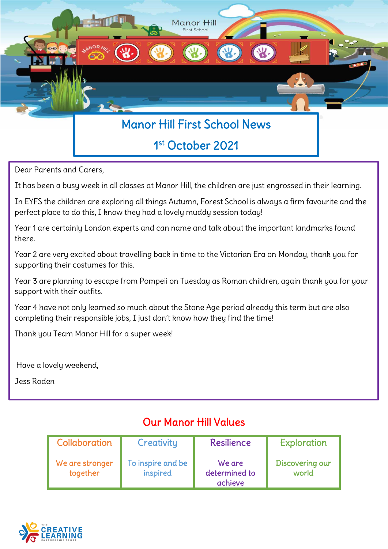

Dear Parents and Carers,

It has been a busy week in all classes at Manor Hill, the children are just engrossed in their learning.

In EYFS the children are exploring all things Autumn, Forest School is always a firm favourite and the perfect place to do this, I know they had a lovely muddy session today!

Year 1 are certainly London experts and can name and talk about the important landmarks found there.

Year 2 are very excited about travelling back in time to the Victorian Era on Monday, thank you for supporting their costumes for this.

Year 3 are planning to escape from Pompeii on Tuesday as Roman children, again thank you for your support with their outfits.

Year 4 have not only learned so much about the Stone Age period already this term but are also completing their responsible jobs, I just don't know how they find the time!

Thank you Team Manor Hill for a super week!

Have a lovely weekend,

Jess Roden

### Our Manor Hill Values

| Collaboration               | Creativity                    | <b>Resilience</b>                  | Exploration              |
|-----------------------------|-------------------------------|------------------------------------|--------------------------|
| We are stronger<br>together | To inspire and be<br>inspired | We are<br>determined to<br>achieve | Discovering our<br>world |